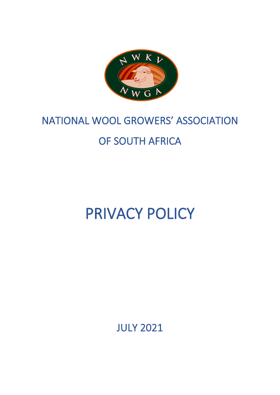

# NATIONAL WOOL GROWERS' ASSOCIATION OF SOUTH AFRICA

# PRIVACY POLICY

JULY 2021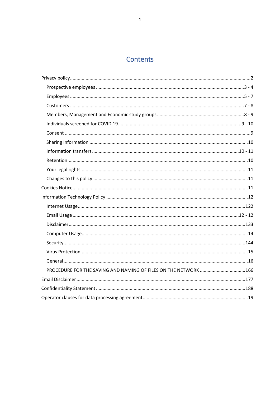## Contents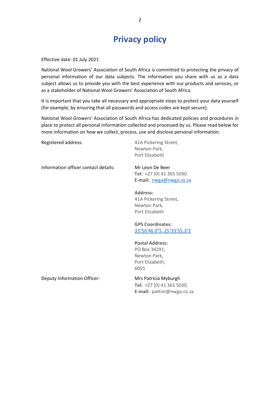# **Privacy policy**

<span id="page-2-0"></span>Effective date: 01 July 2021

National Wool Growers' Association of South Africa is committed to protecting the privacy of personal information of our data subjects. The information you share with us as a data subject allows us to provide you with the best experience with our products and services, or as a stakeholder of National Wool Growers' Association of South Africa.

It is important that you take all necessary and appropriate steps to protect your data yourself (for example, by ensuring that all passwords and access codes are kept secure).

National Wool Growers' Association of South Africa has dedicated policies and procedures in place to protect all personal information collected and processed by us. Please read below for more information on how we collect, process, use and disclose personal information.

Registered address: 41A Pickering Street, Newton Park, Port Elizabeth Information officer contact details: Mr Leon De Beer **Tel:** +27 (0) 41 365 5030 **E-mail:** [nwga@nwga.co.za](mailto:nwga@nwga.co.za) **Address:** 41A Pickering Street, Newton Park, Port Elizabeth **GPS Coordinates:** [33°56'46.0"S 25°33'55.3"E](https://www.nwga.co.za/%7B***external_link***%7Dhttps:/www.google.co.za/maps/place/33%C2%B056) **Postal Address:** PO Box 34291, Newton Park, Port Elizabeth, 6055 Deputy Information Officer: Mrs Patricia Myburgh **Tel:** +27 (0) 41 365 5030 **E-mail:** pattim@nwga.co.za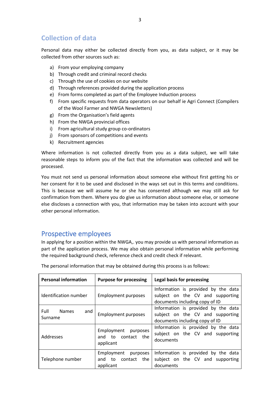## **Collection of data**

Personal data may either be collected directly from you, as data subject, or it may be collected from other sources such as:

- a) From your employing company
- b) Through credit and criminal record checks
- c) Through the use of cookies on our website
- d) Through references provided during the application process
- e) From forms completed as part of the Employee Induction process
- f) From specific requests from data operators on our behalf ie Agri Connect (Compilers of the Wool Farmer and NWGA Newsletters)
- g) From the Organisation's field agents
- h) From the NWGA provincial offices
- i) From agricultural study group co-ordinators
- j) From sponsors of competitions and events
- k) Recruitment agencies

Where information is not collected directly from you as a data subject, we will take reasonable steps to inform you of the fact that the information was collected and will be processed.

You must not send us personal information about someone else without first getting his or her consent for it to be used and disclosed in the ways set out in this terms and conditions. This is because we will assume he or she has consented although we may still ask for confirmation from them. Where you do give us information about someone else, or someone else discloses a connection with you, that information may be taken into account with your other personal information.

## <span id="page-3-0"></span>Prospective employees

In applying for a position within the NWGA,. you may provide us with personal information as part of the application process. We may also obtain personal information while performing the required background check, reference check and credit check if relevant.

| <b>Personal information</b>            | <b>Purpose for processing</b>                                      | Legal basis for processing                                                                                |
|----------------------------------------|--------------------------------------------------------------------|-----------------------------------------------------------------------------------------------------------|
| Identification number                  | <b>Employment purposes</b>                                         | Information is provided by the data<br>subject on the CV and supporting<br>documents including copy of ID |
| Full<br><b>Names</b><br>and<br>Surname | <b>Employment purposes</b>                                         | Information is provided by the data<br>subject on the CV and supporting<br>documents including copy of ID |
| Addresses                              | Employment<br>purposes<br>to contact the<br>and<br>applicant       | Information is provided by the data<br>subject on the CV and supporting<br>documents                      |
| Telephone number                       | Employment<br>purposes<br>to<br>contact<br>and<br>the<br>applicant | Information is provided by the data<br>subject on the CV and supporting<br>documents                      |

The personal information that may be obtained during this process is as follows: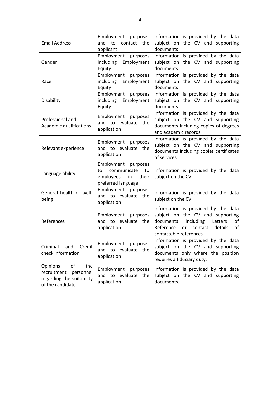<span id="page-4-0"></span>

| <b>Email Address</b>                           | Employment purposes<br>and<br>to<br>contact<br>the<br>applicant                               | Information is provided by the data<br>subject on the CV and supporting<br>documents                                                                                                            |
|------------------------------------------------|-----------------------------------------------------------------------------------------------|-------------------------------------------------------------------------------------------------------------------------------------------------------------------------------------------------|
| Gender                                         | Employment purposes<br>including Employment<br>Equity                                         | Information is provided by the data<br>subject on the CV and supporting<br>documents                                                                                                            |
| Race                                           | Employment purposes<br>including Employment<br>Equity                                         | Information is provided by the data<br>subject on the CV and supporting<br>documents                                                                                                            |
| Disability                                     | Employment<br>purposes<br>including Employment<br>Equity                                      | Information is provided by the data<br>subject on the CV and supporting<br>documents                                                                                                            |
| Professional and<br>Academic qualifications    | Employment<br>purposes<br>and to evaluate the<br>application                                  | Information is provided by the data<br>subject on the CV and supporting<br>documents including copies of degrees<br>and academic records                                                        |
| Relevant experience                            | Employment<br>purposes<br>and to evaluate the<br>application                                  | Information is provided by the data<br>subject on the CV and supporting<br>documents including copies certificates<br>of services                                                               |
|                                                |                                                                                               |                                                                                                                                                                                                 |
| Language ability                               | Employment purposes<br>communicate<br>to<br>to<br>employees in<br>their<br>preferred language | Information is provided by the data<br>subject on the CV                                                                                                                                        |
| General health or well-<br>being               | Employment<br>purposes<br>and to evaluate the<br>application                                  | Information is provided by the data<br>subject on the CV                                                                                                                                        |
| References                                     | Employment<br>purposes<br>and to evaluate the<br>application                                  | Information is provided by the data<br>subject on the CV and supporting<br>including<br>documents<br>Letters<br>of<br>Reference<br>contact details<br><b>or</b><br>of<br>contactable references |
| Criminal<br>and<br>Credit<br>check information | Employment purposes<br>and to evaluate the<br>application                                     | Information is provided by the data<br>subject on the CV and supporting<br>documents only where the position<br>requires a fiduciary duty.                                                      |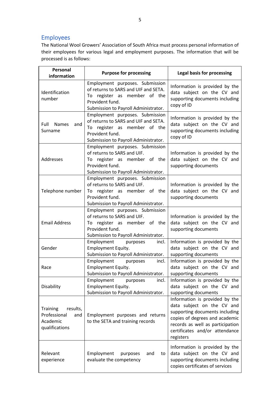## Employees

The National Wool Growers' Association of South Africa must process personal information of their employees for various legal and employment purposes. The information that will be processed is as follows:

| Personal<br>information                                                   | <b>Purpose for processing</b>                                                                                                                                      | <b>Legal basis for processing</b>                                                                                                                                                                                   |
|---------------------------------------------------------------------------|--------------------------------------------------------------------------------------------------------------------------------------------------------------------|---------------------------------------------------------------------------------------------------------------------------------------------------------------------------------------------------------------------|
| Identification<br>number                                                  | Employment purposes. Submission<br>of returns to SARS and UIF and SETA.<br>To register as member of the<br>Provident fund.<br>Submission to Payroll Administrator. | Information is provided by the<br>data subject on the CV and<br>supporting documents including<br>copy of ID                                                                                                        |
| <b>Names</b><br>Full<br>and<br>Surname                                    | Employment purposes. Submission<br>of returns to SARS and UIF and SETA.<br>To register as member of the<br>Provident fund.<br>Submission to Payroll Administrator. | Information is provided by the<br>data subject on the CV and<br>supporting documents including<br>copy of ID                                                                                                        |
| Addresses                                                                 | Employment purposes. Submission<br>of returns to SARS and UIF.<br>To register as member of the<br>Provident fund.<br>Submission to Payroll Administrator.          | Information is provided by the<br>data subject on the CV and<br>supporting documents                                                                                                                                |
| Telephone number                                                          | Employment purposes. Submission<br>of returns to SARS and UIF.<br>To register as member of the<br>Provident fund.<br>Submission to Payroll Administrator.          | Information is provided by the<br>data subject on the CV and<br>supporting documents                                                                                                                                |
| <b>Email Address</b>                                                      | Employment purposes. Submission<br>of returns to SARS and UIF.<br>To register as member of the<br>Provident fund.<br>Submission to Payroll Administrator.          | Information is provided by the<br>data subject on the CV and<br>supporting documents                                                                                                                                |
| Gender                                                                    | Employment<br>purposes<br>incl.<br><b>Employment Equity.</b><br>Submission to Payroll Administrator.                                                               | Information is provided by the<br>data subject on the CV and<br>supporting documents                                                                                                                                |
| Race                                                                      | Employment<br>incl.<br>purposes<br>Employment Equity.<br>Submission to Payroll Administrator.                                                                      | Information is provided by the<br>data subject on the CV and<br>supporting documents                                                                                                                                |
| Disability                                                                | Employment<br>incl.<br>purposes<br><b>Employment Equity.</b><br>Submission to Payroll Administrator.                                                               | Information is provided by the<br>data subject on the CV and<br>supporting documents                                                                                                                                |
| Training<br>results,<br>Professional<br>and<br>Academic<br>qualifications | Employment purposes and returns<br>to the SETA and training records                                                                                                | Information is provided by the<br>data subject on the CV and<br>supporting documents including<br>copies of degrees and academic<br>records as well as participation<br>certificates and/or attendance<br>registers |
| Relevant<br>experience                                                    | Employment<br>purposes<br>and<br>to<br>evaluate the competency                                                                                                     | Information is provided by the<br>data subject on the CV and<br>supporting documents including<br>copies certificates of services                                                                                   |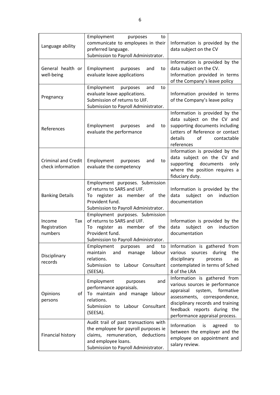| Language ability                                | Employment<br>purposes<br>to<br>communicate to employees in their<br>preferred language.<br>Submission to Payroll Administrator.                                                 | Information is provided by the<br>data subject on the CV                                                                                                                                                                                     |
|-------------------------------------------------|----------------------------------------------------------------------------------------------------------------------------------------------------------------------------------|----------------------------------------------------------------------------------------------------------------------------------------------------------------------------------------------------------------------------------------------|
| General health or<br>well-being                 | Employment<br>purposes<br>and<br>to<br>evaluate leave applications                                                                                                               | Information is provided by the<br>data subject on the CV.<br>Information provided in terms<br>of the Company's leave policy                                                                                                                  |
| Pregnancy                                       | Employment<br>purposes<br>and<br>to<br>evaluate leave applications.<br>Submission of returns to UIF.<br>Submission to Payroll Administrator.                                     | Information provided in terms<br>of the Company's leave policy                                                                                                                                                                               |
| References                                      | Employment<br>purposes<br>and<br>to<br>evaluate the performance                                                                                                                  | Information is provided by the<br>data subject on the CV and<br>supporting documents including<br>Letters of Reference or contact<br>details<br>of<br>contactable<br>references                                                              |
| <b>Criminal and Credit</b><br>check information | Employment<br>purposes<br>and<br>to<br>evaluate the competency                                                                                                                   | Information is provided by the<br>data subject on the CV and<br>supporting<br>documents<br>only<br>where the position requires a<br>fiduciary duty.                                                                                          |
| <b>Banking Details</b>                          | Employment purposes. Submission<br>of returns to SARS and UIF.<br>To register as member of the<br>Provident fund.<br>Submission to Payroll Administrator.                        | Information is provided by the<br>subject<br>induction<br>data<br>on<br>documentation                                                                                                                                                        |
| Tax<br>Income<br>Registration<br>numbers        | Employment purposes. Submission<br>of returns to SARS and UIF.<br>To register as member of the<br>Provident fund.<br>Submission to Payroll Administrator.                        | Information is provided by the<br>subject<br>induction<br>data<br>on<br>documentation                                                                                                                                                        |
| Disciplinary<br>records                         | Employment<br>purposes<br>and<br>to<br>maintain<br>labour<br>and<br>manage<br>relations.<br>Submission to Labour Consultant<br>(SEESA).                                          | Information is gathered from<br>various sources during<br>the<br>disciplinary<br>process<br>as<br>contemplated in terms of Sched<br>8 of the LRA                                                                                             |
| <b>Opinions</b><br>of<br>persons                | Employment<br>purposes<br>and<br>performance appraisals.<br>To maintain and manage<br>labour<br>relations.<br>Submission to Labour Consultant<br>(SEESA).                        | Information is gathered from<br>various sources ie performance<br>formative<br>appraisal<br>system,<br>assessments,<br>correspondence,<br>disciplinary records and training<br>feedback reports during the<br>performance appraisal process. |
| Financial history                               | Audit trail of past transactions with<br>the employee for payroll purposes ie<br>claims, remuneration, deductions<br>and employee loans.<br>Submission to Payroll Administrator. | Information<br>is<br>agreed<br>to<br>between the employer and the<br>employee on appointment and<br>salary review.                                                                                                                           |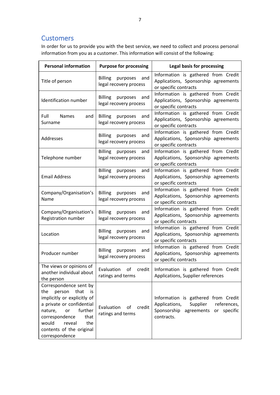## <span id="page-7-0"></span>**Customers**

In order for us to provide you with the best service, we need to collect and process personal information from you as a customer. This information will consist of the following:

| <b>Personal information</b>                                                                                                                                                                                                                  | <b>Purpose for processing</b>                               | Legal basis for processing                                                                                                             |
|----------------------------------------------------------------------------------------------------------------------------------------------------------------------------------------------------------------------------------------------|-------------------------------------------------------------|----------------------------------------------------------------------------------------------------------------------------------------|
| Title of person                                                                                                                                                                                                                              | <b>Billing</b><br>purposes<br>and<br>legal recovery process | Information is gathered from Credit<br>Applications, Sponsorship agreements<br>or specific contracts                                   |
| Identification number                                                                                                                                                                                                                        | <b>Billing</b><br>purposes<br>and<br>legal recovery process | Information is gathered from Credit<br>Applications, Sponsorship agreements<br>or specific contracts                                   |
| Full<br><b>Names</b><br>and<br>Surname                                                                                                                                                                                                       | <b>Billing</b><br>purposes<br>and<br>legal recovery process | Information is gathered from Credit<br>Applications, Sponsorship agreements<br>or specific contracts                                   |
| Addresses                                                                                                                                                                                                                                    | <b>Billing</b><br>purposes<br>and<br>legal recovery process | Information is gathered from Credit<br>Applications, Sponsorship agreements<br>or specific contracts                                   |
| Telephone number                                                                                                                                                                                                                             | <b>Billing</b><br>purposes<br>and<br>legal recovery process | Information is gathered from Credit<br>Applications, Sponsorship agreements<br>or specific contracts                                   |
| <b>Email Address</b>                                                                                                                                                                                                                         | <b>Billing</b><br>purposes<br>and<br>legal recovery process | Information is gathered from Credit<br>Applications, Sponsorship agreements<br>or specific contracts                                   |
| Company/Organisation's<br>Name                                                                                                                                                                                                               | <b>Billing</b><br>purposes<br>and<br>legal recovery process | Information is gathered from Credit<br>Applications, Sponsorship agreements<br>or specific contracts                                   |
| Company/Organisation's<br>Registration number                                                                                                                                                                                                | <b>Billing</b><br>purposes<br>and<br>legal recovery process | Information is gathered from Credit<br>Applications, Sponsorship agreements<br>or specific contracts                                   |
| Location                                                                                                                                                                                                                                     | <b>Billing</b><br>purposes<br>and<br>legal recovery process | Information is gathered from Credit<br>Applications, Sponsorship agreements<br>or specific contracts                                   |
| Producer number                                                                                                                                                                                                                              | <b>Billing</b><br>purposes<br>and<br>legal recovery process | Information is gathered from Credit<br>Applications, Sponsorship agreements<br>or specific contracts                                   |
| The views or opinions of<br>another individual about<br>the person                                                                                                                                                                           | Evaluation<br>of<br>credit<br>ratings and terms             | Information is gathered from Credit<br>Applications, Supplier references                                                               |
| Correspondence sent by<br>person that<br>the<br>is<br>implicitly or explicitly of<br>a private or confidential<br>further<br>nature,<br>or<br>correspondence<br>that<br>would<br>reveal<br>the<br>contents of the original<br>correspondence | Evaluation<br>of<br>credit<br>ratings and terms             | Information is gathered from Credit<br>Applications,<br>Supplier<br>references,<br>Sponsorship<br>agreements or specific<br>contracts. |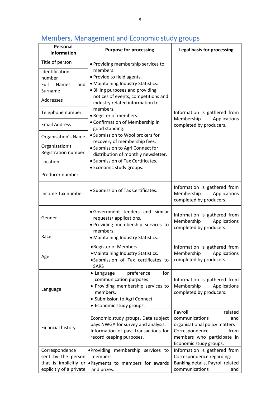#### **Personal information Purpose for processing Legal basis for processing** Title of person  $\left| \bullet \right|$  Providing membership services to members. • Provide to field agents. • Maintaining Industry Statistics. • Billing purposes and providing notices of events, competitions and industry related information to members. • Register of members. • Confirmation of Membership in good standing. • Submission to Wool brokers for recovery of membership fees. • Submission to Agri Connect for distribution of monthly newsletter. • Submission of Tax Certificates. • Economic study groups. Information is gathered from Membership Applications completed by producers. Identification number Full Names and Surname Addresses Telephone number Email Address Organisation's Name Organisation's Registration number Location Producer number Information is gathered from<br>Income Tax number<br>Applications Applications completed by producers. Gender • Government tenders and similar requests/ applications. • Providing membership services to members. • Maintaining Industry Statistics. Information is gathered from Membership Applications completed by producers. Race Age •Register of Members. •Maintaining Industry Statistics. •Submission of Tax certificates to **SARS** Information is gathered from Membership Applications completed by producers. Language • Language preference for communication purposes • Providing membership services to members. • Submission to Agri Connect. • Economic study groups. Information is gathered from Membership Applications completed by producers. Financial history Economic study groups. Data subject pays NWGA for survey and analysis. Information of past transactions for record keeping purposes. Payroll **related** communications and organisational policy matters Correspondence from members who participate in Economic study groups. Correspondence sent by the person that is implicitly or •Payments to members for awards explicitly of a private •Providing membership services to members. Information is gathered from Correspondence regarding: Banking details, Payroll related communications and

and prizes.

## <span id="page-8-0"></span>Members, Management and Economic study groups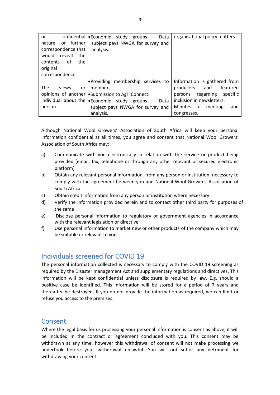| or                        | confidential eEconomic study groups<br>- Data                                           | organisational policy matters    |
|---------------------------|-----------------------------------------------------------------------------------------|----------------------------------|
| nature, or further        | subject pays NWGA for survey and                                                        |                                  |
| correspondence that       | analysis.                                                                               |                                  |
| mould<br>reveal<br>the    |                                                                                         |                                  |
| of<br>contents<br>the     |                                                                                         |                                  |
| original                  |                                                                                         |                                  |
| correspondence            |                                                                                         |                                  |
|                           | <b>Providing membership services to</b>                                                 | Information is gathered from     |
| <b>The</b><br>views<br>or | members.                                                                                | producers and<br>featured        |
|                           | opinions of another <i>Submission</i> to Agri Connect.                                  | regarding<br>specific<br>persons |
|                           | individual about the <b>.</b> Economic study groups<br>Data<br>$\overline{\phantom{a}}$ | inclusion in newsletters.        |
| person                    | subject pays NWGA for survey and                                                        | Minutes of<br>meetings<br>and    |
|                           | analysis.                                                                               | congresses.                      |

Although National Wool Growers' Association of South Africa will keep your personal information confidential at all times, you agree and consent that National Wool Growers' Association of South Africa may:

- a) Communicate with you electronically in relation with the service or product being provided (email, fax, telephone or through any other relevant or secured electronic platform)
- b) Obtain any relevant personal information, from any person or institution, necessary to comply with the agreement between you and National Wool Growers' Association of South Africa
- c) Obtain credit information from any person or institution where necessary
- d) Verify the information provided herein and to contact other third party for purposes of the same
- e) Disclose personal information to regulatory or government agencies in accordance with the relevant legislation or directive
- f) Use personal information to market new or other products of the company which may be suitable or relevant to you

## <span id="page-9-0"></span>Individuals screened for COVID 19

The personal information collected is necessary to comply with the COVID 19 screening as required by the Disaster management Act and supplementary regulations and directives. This information will be kept confidential unless disclosure is required by law. E.g. should a positive case be identified. This information will be stored for a period of 7 years and thereafter be destroyed. If you do not provide the information as required, we can limit or refuse you access to the premises.

#### <span id="page-9-1"></span>Consent

Where the legal basis for us processing your personal information is consent as above, it will be included in the contract or agreement concluded with you. This consent may be withdrawn at any time, however this withdrawal of consent will not make processing we undertook before your withdrawal unlawful. You will not suffer any detriment for withdrawing your consent.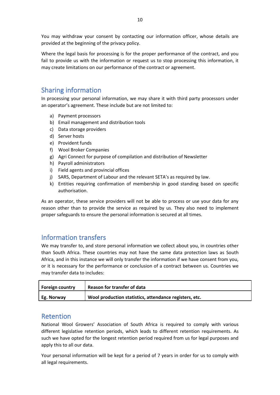You may withdraw your consent by contacting our information officer, whose details are provided at the beginning of the privacy policy.

Where the legal basis for processing is for the proper performance of the contract, and you fail to provide us with the information or request us to stop processing this information, it may create limitations on our performance of the contract or agreement.

## <span id="page-10-0"></span>Sharing information

In processing your personal information, we may share it with third party processors under an operator's agreement. These include but are not limited to:

- a) Payment processors
- b) Email management and distribution tools
- c) Data storage providers
- d) Server hosts
- e) Provident funds
- f) Wool Broker Companies
- g) Agri Connect for purpose of compilation and distribution of Newsletter
- h) Payroll administrators
- i) Field agents and provincial offices
- j) SARS, Department of Labour and the relevant SETA's as required by law.
- k) Entities requiring confirmation of membership in good standing based on specific authorisation.

As an operator, these service providers will not be able to process or use your data for any reason other than to provide the service as required by us. They also need to implement proper safeguards to ensure the personal information is secured at all times.

## <span id="page-10-1"></span>Information transfers

We may transfer to, and store personal information we collect about you, in countries other than South Africa. These countries may not have the same data protection laws as South Africa, and in this instance we will only transfer the information if we have consent from you, or it is necessary for the performance or conclusion of a contract between us. Countries we may transfer data to includes:

| Foreign country   | Reason for transfer of data                            |
|-------------------|--------------------------------------------------------|
| <b>Eg. Norway</b> | Wool production statistics, attendance registers, etc. |

#### <span id="page-10-2"></span>Retention

National Wool Growers' Association of South Africa is required to comply with various different legislative retention periods, which leads to different retention requirements. As such we have opted for the longest retention period required from us for legal purposes and apply this to all our data.

Your personal information will be kept for a period of 7 years in order for us to comply with all legal requirements.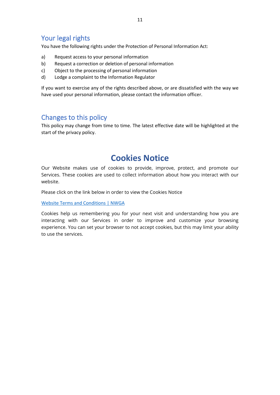## <span id="page-11-0"></span>Your legal rights

You have the following rights under the Protection of Personal Information Act:

- a) Request access to your personal information
- b) Request a correction or deletion of personal information
- c) Object to the processing of personal information
- d) Lodge a complaint to the Information Regulator

If you want to exercise any of the rights described above, or are dissatisfied with the way we have used your personal information, please contact the information officer.

#### <span id="page-11-1"></span>Changes to this policy

This policy may change from time to time. The latest effective date will be highlighted at the start of the privacy policy.

## **Cookies Notice**

<span id="page-11-2"></span>Our Website makes use of cookies to provide, improve, protect, and promote our Services. These cookies are used to collect information about how you interact with our website.

Please click on the link below in order to view the Cookies Notice

[Website Terms and Conditions | NWGA](https://www.nwga.co.za/website-terms-and-conditions)

<span id="page-11-3"></span>Cookies help us remembering you for your next visit and understanding how you are interacting with our Services in order to improve and customize your browsing experience. You can set your browser to not accept cookies, but this may limit your ability to use the services.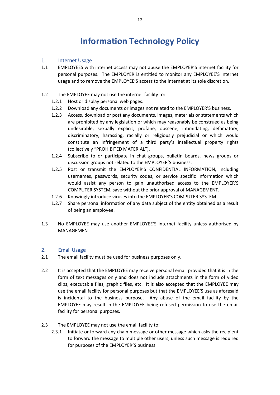# **Information Technology Policy**

#### <span id="page-12-0"></span>1. Internet Usage

- 1.1 EMPLOYEES with internet access may not abuse the EMPLOYER'S internet facility for personal purposes. The EMPLOYER is entitled to monitor any EMPLOYEE'S internet usage and to remove the EMPLOYEE'S access to the internet at its sole discretion.
- 1.2 The EMPLOYEE may not use the internet facility to:
	- 1.2.1 Host or display personal web pages.
	- 1.2.2 Download any documents or images not related to the EMPLOYER'S business.
	- 1.2.3 Access, download or post any documents, images, materials or statements which are prohibited by any legislation or which may reasonably be construed as being undesirable, sexually explicit, profane, obscene, intimidating, defamatory, discriminatory, harassing, racially or religiously prejudicial or which would constitute an infringement of a third party's intellectual property rights (collectively "PROHIBITED MATERIAL").
	- 1.2.4 Subscribe to or participate in chat groups, bulletin boards, news groups or discussion groups not related to the EMPLOYER'S business.
	- 1.2.5 Post or transmit the EMPLOYER'S CONFIDENTIAL INFORMATION, including usernames, passwords, security codes, or service specific information which would assist any person to gain unauthorised access to the EMPLOYER'S COMPUTER SYSTEM, save without the prior approval of MANAGEMENT.
	- 1.2.6 Knowingly introduce viruses into the EMPLOYER'S COMPUTER SYSTEM.
	- 1.2.7 Share personal information of any data subject of the entity obtained as a result of being an employee.
- 1.3 No EMPLOYEE may use another EMPLOYEE'S internet facility unless authorised by MANAGEMENT.

#### <span id="page-12-1"></span>2. Email Usage

- 2.1 The email facility must be used for business purposes only.
- 2.2 It is accepted that the EMPLOYEE may receive personal email provided that it is in the form of text messages only and does not include attachments in the form of video clips, executable files, graphic files, etc. It is also accepted that the EMPLOYEE may use the email facility for personal purposes but that the EMPLOYEE'S use as aforesaid is incidental to the business purpose. Any abuse of the email facility by the EMPLOYEE may result in the EMPLOYEE being refused permission to use the email facility for personal purposes.
- 2.3 The EMPLOYEE may not use the email facility to:
	- 2.3.1 Initiate or forward any chain message or other message which asks the recipient to forward the message to multiple other users, unless such message is required for purposes of the EMPLOYER'S business.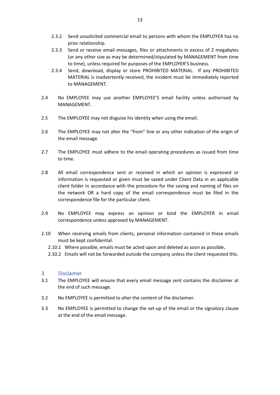- 2.3.2 Send unsolicited commercial email to persons with whom the EMPLOYER has no prior relationship.
- 2.3.3 Send or receive email messages, files or attachments in excess of 2 megabytes (or any other size as may be determined/stipulated by MANAGEMENT from time to time), unless required for purposes of the EMPLOYER'S business.
- 2.3.4 Send, download, display or store PROHIBITED MATERIAL. If any PROHIBITED MATERIAL is inadvertently received, the incident must be immediately reported to MANAGEMENT.
- 2.4 No EMPLOYEE may use another EMPLOYEE'S email facility unless authorised by MANAGEMENT.
- 2.5 The EMPLOYEE may not disguise his identity when using the email.
- 2.6 The EMPLOYEE may not alter the "from" line or any other indication of the origin of the email message.
- 2.7 The EMPLOYEE must adhere to the email operating procedures as issued from time to time.
- 2.8 All email correspondence sent or received in which an opinion is expressed or information is requested or given must be saved under Client Data in an applicable client folder in accordance with the procedure for the saving and naming of files on the network OR a hard copy of the email correspondence must be filed in the correspondence file for the particular client.
- 2.9 No EMPLOYEE may express an opinion or bind the EMPLOYER in email correspondence unless approved by MANAGEMENT.
- 2.10 When receiving emails from clients, personal information contained in these emails must be kept confidential.
	- 2.10.1 Where possible, emails must be acted upon and deleted as soon as possible,
	- 2.10.2 Emails will not be forwarded outside the company unless the client requested this.

#### <span id="page-13-0"></span>3. Disclaimer

- 3.1 The EMPLOYEE will ensure that every email message sent contains the disclaimer at the end of such message.
- 3.2 No EMPLOYEE is permitted to alter the content of the disclaimer.
- <span id="page-13-1"></span>3.3 No EMPLOYEE is permitted to change the set-up of the email or the signatory clause at the end of the email message.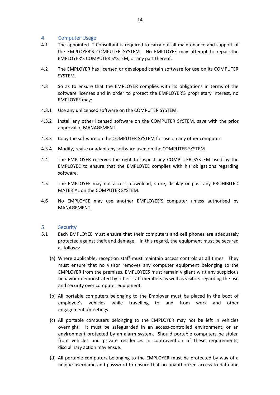#### 4. Computer Usage

- 4.1 The appointed IT Consultant is required to carry out all maintenance and support of the EMPLOYER'S COMPUTER SYSTEM. No EMPLOYEE may attempt to repair the EMPLOYER'S COMPUTER SYSTEM, or any part thereof.
- 4.2 The EMPLOYER has licensed or developed certain software for use on its COMPUTER SYSTEM.
- 4.3 So as to ensure that the EMPLOYER complies with its obligations in terms of the software licenses and in order to protect the EMPLOYER'S proprietary interest, no EMPLOYEE may:
- 4.3.1 Use any unlicensed software on the COMPUTER SYSTEM.
- 4.3.2 Install any other licensed software on the COMPUTER SYSTEM, save with the prior approval of MANAGEMENT.
- 4.3.3 Copy the software on the COMPUTER SYSTEM for use on any other computer.
- 4.3.4 Modify, revise or adapt any software used on the COMPUTER SYSTEM.
- 4.4 The EMPLOYER reserves the right to inspect any COMPUTER SYSTEM used by the EMPLOYEE to ensure that the EMPLOYEE complies with his obligations regarding software.
- 4.5 The EMPLOYEE may not access, download, store, display or post any PROHIBITED MATERIAL on the COMPUTER SYSTEM.
- 4.6 No EMPLOYEE may use another EMPLOYEE'S computer unless authorised by MANAGEMENT.

#### <span id="page-14-0"></span>5. Security

- 5.1 Each EMPLOYEE must ensure that their computers and cell phones are adequately protected against theft and damage. In this regard, the equipment must be secured as follows:
	- (a) Where applicable, reception staff must maintain access controls at all times. They must ensure that no visitor removes any computer equipment belonging to the EMPLOYER from the premises. EMPLOYEES must remain vigilant w.r.t any suspicious behaviour demonstrated by other staff members as well as visitors regarding the use and security over computer equipment.
	- (b) All portable computers belonging to the Employer must be placed in the boot of employee's vehicles while travelling to and from work and other engagements/meetings.
	- (c) All portable computers belonging to the EMPLOYER may not be left in vehicles overnight. It must be safeguarded in an access-controlled environment, or an environment protected by an alarm system. Should portable computers be stolen from vehicles and private residences in contravention of these requirements, disciplinary action may ensue.
	- (d) All portable computers belonging to the EMPLOYER must be protected by way of a unique username and password to ensure that no unauthorized access to data and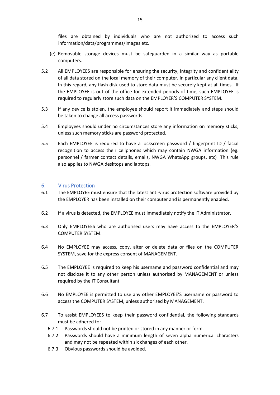files are obtained by individuals who are not authorized to access such information/data/programmes/images etc.

- (e) Removable storage devices must be safeguarded in a similar way as portable computers.
- 5.2 All EMPLOYEES are responsible for ensuring the security, integrity and confidentiality of all data stored on the local memory of their computer, in particular any client data. In this regard, any flash disk used to store data must be securely kept at all times. If the EMPLOYEE is out of the office for extended periods of time, such EMPLOYEE is required to regularly store such data on the EMPLOYER'S COMPUTER SYSTEM.
- 5.3 If any device is stolen, the employee should report it immediately and steps should be taken to change all access passwords.
- 5.4 Employees should under no circumstances store any information on memory sticks, unless such memory sticks are password protected.
- <span id="page-15-0"></span>5.5 Each EMPLOYEE is required to have a lockscreen password / fingerprint ID / facial recognition to access their cellphones which may contain NWGA information (eg. personnel / farmer contact details, emails, NWGA WhatsApp groups, etc) This rule also applies to NWGA desktops and laptops.

#### 6. Virus Protection

- 6.1 The EMPLOYEE must ensure that the latest anti-virus protection software provided by the EMPLOYER has been installed on their computer and is permanently enabled.
- 6.2 If a virus is detected, the EMPLOYEE must immediately notify the IT Administrator.
- 6.3 Only EMPLOYEES who are authorised users may have access to the EMPLOYER'S COMPUTER SYSTEM.
- 6.4 No EMPLOYEE may access, copy, alter or delete data or files on the COMPUTER SYSTEM, save for the express consent of MANAGEMENT.
- 6.5 The EMPLOYEE is required to keep his username and password confidential and may not disclose it to any other person unless authorised by MANAGEMENT or unless required by the IT Consultant.
- 6.6 No EMPLOYEE is permitted to use any other EMPLOYEE'S username or password to access the COMPUTER SYSTEM, unless authorised by MANAGEMENT.
- <span id="page-15-1"></span>6.7 To assist EMPLOYEES to keep their password confidential, the following standards must be adhered to:
	- 6.7.1 Passwords should not be printed or stored in any manner or form.
	- 6.7.2 Passwords should have a minimum length of seven alpha numerical characters and may not be repeated within six changes of each other.
	- 6.7.3 Obvious passwords should be avoided.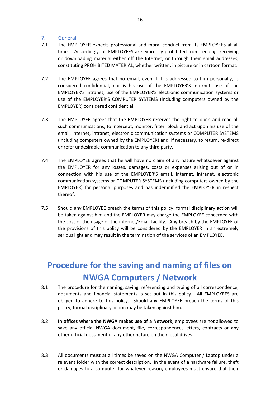#### 7. General

- 7.1 The EMPLOYER expects professional and moral conduct from its EMPLOYEES at all times. Accordingly, all EMPLOYEES are expressly prohibited from sending, receiving or downloading material either off the Internet, or through their email addresses, constituting PROHIBITED MATERIAL, whether written, in picture or in cartoon format.
- 7.2 The EMPLOYEE agrees that no email, even if it is addressed to him personally, is considered confidential, nor is his use of the EMPLOYER'S internet, use of the EMPLOYER'S intranet, use of the EMPLOYER'S electronic communication systems or use of the EMPLOYER'S COMPUTER SYSTEMS (including computers owned by the EMPLOYER) considered confidential.
- 7.3 The EMPLOYEE agrees that the EMPLOYER reserves the right to open and read all such communications, to intercept, monitor, filter, block and act upon his use of the email, internet, intranet, electronic communication systems or COMPUTER SYSTEMS (including computers owned by the EMPLOYER) and, if necessary, to return, re-direct or refer undesirable communication to any third party.
- 7.4 The EMPLOYEE agrees that he will have no claim of any nature whatsoever against the EMPLOYER for any losses, damages, costs or expenses arising out of or in connection with his use of the EMPLOYER'S email, internet, intranet, electronic communication systems or COMPUTER SYSTEMS (including computers owned by the EMPLOYER) for personal purposes and has indemnified the EMPLOYER in respect thereof.
- 7.5 Should any EMPLOYEE breach the terms of this policy, formal disciplinary action will be taken against him and the EMPLOYER may charge the EMPLOYEE concerned with the cost of the usage of the internet/Email facility. Any breach by the EMPLOYEE of the provisions of this policy will be considered by the EMPLOYER in an extremely serious light and may result in the termination of the services of an EMPLOYEE.

# <span id="page-16-0"></span>**Procedure for the saving and naming of files on NWGA Computers / Network**

- 8.1 The procedure for the naming, saving, referencing and typing of all correspondence, documents and financial statements is set out in this policy. All EMPLOYEES are obliged to adhere to this policy. Should any EMPLOYEE breach the terms of this policy, formal disciplinary action may be taken against him.
- 8.2 **In offices where the NWGA makes use of a Network**, employees are not allowed to save any official NWGA document, file, correspondence, letters, contracts or any other official document of any other nature on their local drives.
- 8.3 All documents must at all times be saved on the NWGA Computer / Laptop under a relevant folder with the correct description. In the event of a hardware failure, theft or damages to a computer for whatever reason, employees must ensure that their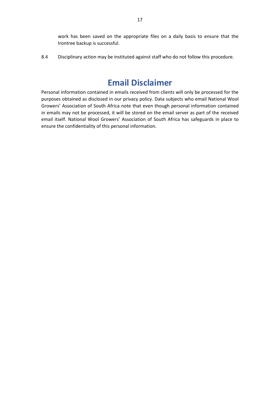work has been saved on the appropriate files on a daily basis to ensure that the Irontree backup is successful.

8.4 Disciplinary action may be instituted against staff who do not follow this procedure.

# **Email Disclaimer**

<span id="page-17-1"></span><span id="page-17-0"></span>Personal information contained in emails received from clients will only be processed for the purposes obtained as disclosed in our privacy policy. Data subjects who email National Wool Growers' Association of South Africa note that even though personal information contained in emails may not be processed, it will be stored on the email server as part of the received email itself. National Wool Growers' Association of South Africa has safeguards in place to ensure the confidentiality of this personal information.